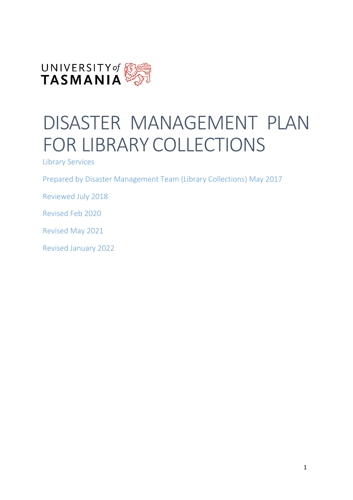

# DISASTER MANAGEMENT PLAN FOR LIBRARY COLLECTIONS

Library Services

Prepared by Disaster Management Team (Library Collections) May 2017

Reviewed July 2018

Revised Feb 2020

Revised May 2021

Revised January 2022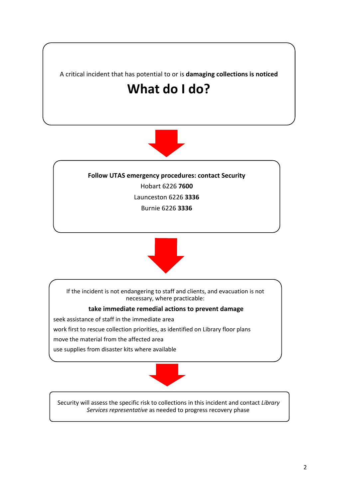



**Follow UTAS emergency procedures: contact Security** Hobart 6226 **7600** Launceston 6226 **3336** Burnie 6226 **3336**



If the incident is not endangering to staff and clients, and evacuation is not necessary, where practicable:

#### **take immediate remedial actions to prevent damage**

seek assistance of staff in the immediate area

work first to rescue collection priorities, as identified on Library floor plans

move the material from the affected area

use supplies from disaster kits where available



Security will assess the specific risk to collections in this incident and contact *Library Services representative* as needed to progress recovery phase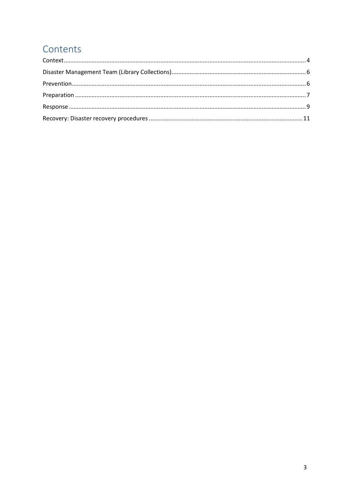### Contents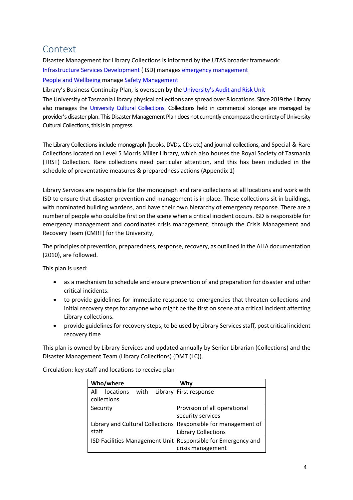### <span id="page-3-0"></span>**Context**

Disaster Management for Library Collections is informed by the UTAS broaderframework: [Infrastructure Services Development](https://www.utas.edu.au/infrastructure-services-development) ( ISD) manages [emergency management](https://www.utas.edu.au/infrastructure-services-development/emergency-procedures) [People and Wellbeing](https://www.utas.edu.au/people-wellbeing) manage [Safety Management](https://www.utas.edu.au/safety-and-wellbeing/management-and-responsibilities)

Library's Business Continuity Plan, is overseen by the [University's](https://www.utas.edu.au/legal-services/audit-and-risk) Audit and Risk Unit

The University of Tasmania Library physical collections are spread over 8locations. Since 2019 the Library also manages the [University Cultural Collections.](https://exhibit.utas.edu.au/s/university-of-tasmania-cultural-collections/page/university-cultural-collections) Collections held in commercial storage are managed by provider's disaster plan. This Disaster Management Plan does not currently encompass the entirety of University Cultural Collections, this is in progress.

The Library Collections include monograph (books, DVDs, CDs etc) and journal collections, and Special & Rare Collections located on Level 5 Morris Miller Library, which also houses the Royal Society of Tasmania (TRST) Collection. Rare collections need particular attention, and this has been included in the schedule of preventative measures & preparedness actions (Appendix 1)

Library Services are responsible for the monograph and rare collections at all locations and work with ISD to ensure that disaster prevention and management is in place. These collections sit in buildings, with nominated building wardens, and have their own hierarchy of emergency response. There are a number of people who could be first on the scene when a critical incident occurs. ISD is responsible for emergency management and coordinates crisis management, through the Crisis Management and Recovery Team (CMRT) for the University,

The principles of prevention, preparedness, response, recovery, as outlined in the ALIA documentation (2010), are followed.

This plan is used:

- as a mechanism to schedule and ensure prevention of and preparation for disaster and other critical incidents.
- to provide guidelines for immediate response to emergencies that threaten collections and initial recovery steps for anyone who might be the first on scene at a critical incident affecting Library collections.
- provide guidelines for recovery steps, to be used by Library Services staff, post critical incident recovery time

This plan is owned by Library Services and updated annually by Senior Librarian (Collections) and the Disaster Management Team (Library Collections) (DMT (LC)).

Circulation: key staff and locations to receive plan

| Who/where                                                    | Why                           |
|--------------------------------------------------------------|-------------------------------|
| Library<br><i>locations</i><br>with<br>All<br>collections    | First response                |
|                                                              |                               |
| Security                                                     | Provision of all operational  |
|                                                              | security services             |
| Library and Cultural Collections                             | Responsible for management of |
| staff                                                        | Library Collections           |
| ISD Facilities Management Unit Responsible for Emergency and |                               |
|                                                              | crisis management             |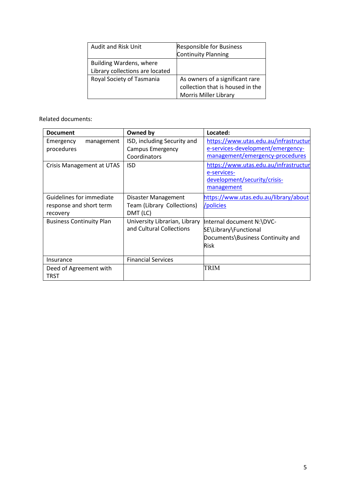| <b>Audit and Risk Unit</b>                                 | <b>Responsible for Business</b><br><b>Continuity Planning</b>                                       |
|------------------------------------------------------------|-----------------------------------------------------------------------------------------------------|
| Building Wardens, where<br>Library collections are located |                                                                                                     |
| Royal Society of Tasmania                                  | As owners of a significant rare<br>collection that is housed in the<br><b>Morris Miller Library</b> |

Related documents:

| <b>Document</b>                 | Owned by                      | Located:                              |
|---------------------------------|-------------------------------|---------------------------------------|
| Emergency<br>management         | ISD, including Security and   | https://www.utas.edu.au/infrastructur |
| procedures                      | <b>Campus Emergency</b>       | e-services-development/emergency-     |
|                                 | Coordinators                  | management/emergency-procedures       |
| Crisis Management at UTAS       | ISD                           | https://www.utas.edu.au/infrastructur |
|                                 |                               | e-services-                           |
|                                 |                               | development/security/crisis-          |
|                                 |                               | management                            |
| Guidelines for immediate        | Disaster Management           | https://www.utas.edu.au/library/about |
| response and short term         | Team (Library Collections)    | /policies                             |
| recovery                        | DMT (LC)                      |                                       |
| <b>Business Continuity Plan</b> | University Librarian, Library | Internal document N:\DVC-             |
|                                 | and Cultural Collections      | SE\Library\Functional                 |
|                                 |                               | Documents\Business Continuity and     |
|                                 |                               | <b>Risk</b>                           |
|                                 |                               |                                       |
| Insurance                       | <b>Financial Services</b>     |                                       |
| Deed of Agreement with          |                               | TRIM                                  |
| <b>TRST</b>                     |                               |                                       |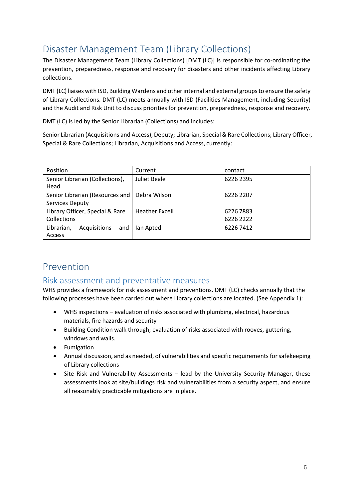### <span id="page-5-0"></span>Disaster Management Team (Library Collections)

The Disaster Management Team (Library Collections) [DMT (LC)] is responsible for co-ordinating the prevention, preparedness, response and recovery for disasters and other incidents affecting Library collections.

DMT (LC) liaises with ISD, Building Wardens and other internal and external groups to ensure the safety of Library Collections. DMT (LC) meets annually with ISD (Facilities Management, including Security) and the Audit and Risk Unit to discuss priorities for prevention, preparedness, response and recovery.

DMT (LC) is led by the Senior Librarian (Collections) and includes:

Senior Librarian (Acquisitions and Access), Deputy; Librarian, Special & Rare Collections; Library Officer, Special & Rare Collections; Librarian, Acquisitions and Access, currently:

| Position                                           | Current               | contact                |
|----------------------------------------------------|-----------------------|------------------------|
| Senior Librarian (Collections),<br>Head            | Juliet Beale          | 6226 2395              |
| Senior Librarian (Resources and<br>Services Deputy | Debra Wilson          | 6226 2207              |
| Library Officer, Special & Rare<br>Collections     | <b>Heather Excell</b> | 6226 7883<br>6226 2222 |
| Librarian,<br>Acquisitions<br>and<br>Access        | lan Apted             | 6226 7412              |

### <span id="page-5-1"></span>Prevention

### Risk assessment and preventative measures

WHS provides a framework for risk assessment and preventions. DMT (LC) checks annually that the following processes have been carried out where Library collections are located. (See Appendix 1):

- WHS inspections evaluation of risks associated with plumbing, electrical, hazardous materials, fire hazards and security
- Building Condition walk through; evaluation of risks associated with rooves, guttering, windows and walls.
- Fumigation
- Annual discussion, and as needed, of vulnerabilities and specific requirements forsafekeeping of Library collections
- Site Risk and Vulnerability Assessments lead by the University Security Manager, these assessments look at site/buildings risk and vulnerabilities from a security aspect, and ensure all reasonably practicable mitigations are in place.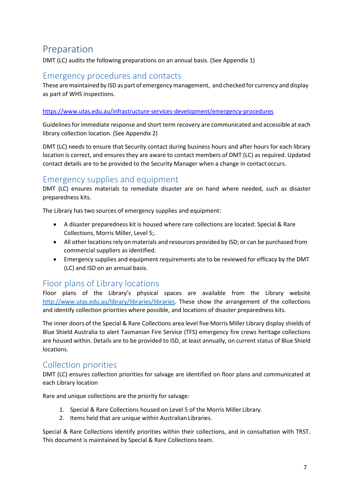### <span id="page-6-0"></span>Preparation

DMT (LC) audits the following preparations on an annual basis. (See Appendix 1)

### Emergency procedures and contacts

These are maintained by ISD as part of emergency management, and checked for currency and display as part of WHS inspections.

#### <https://www.utas.edu.au/infrastructure-services-development/emergency-procedures>

Guidelines for immediate response and short term recovery are communicated and accessible at each library collection location. (See Appendix 2)

DMT (LC) needs to ensure that Security contact during business hours and after hours for each library location is correct, and ensures they are aware to contact members of DMT (LC) as required. Updated contact details are to be provided to the Security Manager when a change in contact occurs.

### Emergency supplies and equipment

DMT (LC) ensures materials to remediate disaster are on hand where needed, such as disaster preparedness kits.

The Library has two sources of emergency supplies and equipment:

- A disaster preparedness kit is housed where rare collections are located: Special & Rare Collections, Morris Miller, Level 5;.
- All other locations rely on materials and resources provided by ISD; or can be purchased from commercial suppliers as identified.
- Emergency supplies and equipment requirements ate to be reviewed for efficacy by the DMT (LC) and ISD on an annual basis.

### Floor plans of Library locations

Floor plans of the Library's physical spaces are available from the Library website [http://www.utas.edu.au/library/libraries/libraries.](http://www.utas.edu.au/library/libraries/libraries) These show the arrangement of the collections and identify collection priorities where possible, and locations of disaster preparedness kits.

The inner doors of the Special & Rare Collections area level five Morris Miller Library display shields of Blue Shield Australia to alert Tasmanian Fire Service (TFS) emergency fire crews heritage collections are housed within. Details are to be provided to ISD, at least annually, on current status of Blue Shield locations.

### Collection priorities

DMT (LC) ensures collection priorities for salvage are identified on floor plans and communicated at each Library location

Rare and unique collections are the priority for salvage:

- 1. Special & Rare Collections housed on Level 5 of the Morris Miller Library.
- 2. Items held that are unique within Australian Libraries.

Special & Rare Collections identify priorities within their collections, and in consultation with TRST. This document is maintained by Special & Rare Collectionsteam.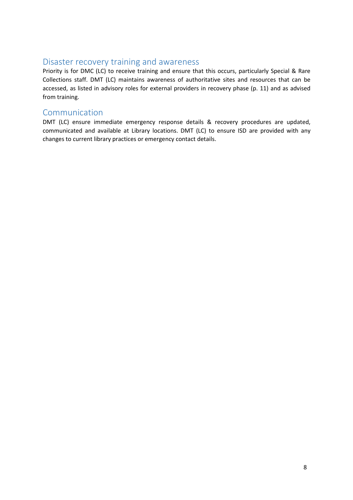### Disaster recovery training and awareness

Priority is for DMC (LC) to receive training and ensure that this occurs, particularly Special & Rare Collections staff. DMT (LC) maintains awareness of authoritative sites and resources that can be accessed, as listed in advisory roles for external providers in recovery phase (p. 11) and as advised from training.

### Communication

DMT (LC) ensure immediate emergency response details & recovery procedures are updated, communicated and available at Library locations. DMT (LC) to ensure ISD are provided with any changes to current library practices or emergency contact details.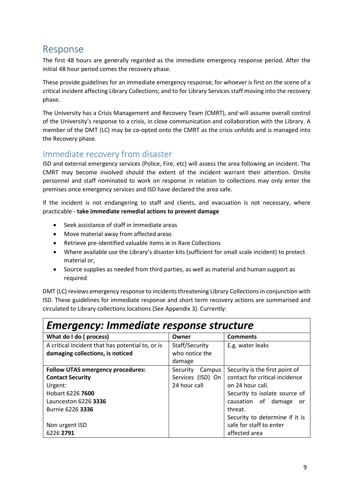### <span id="page-8-0"></span>Response

The first 48 hours are generally regarded as the immediate emergency response period. After the initial 48 hour period comes the recovery phase.

These provide guidelines for an immediate emergency response, for whoever is first on the scene of a critical incident affecting Library Collections; and to for Library Services staff moving into the recovery phase.

The University has a Crisis Management and Recovery Team (CMRT), and will assume overall control of the University's response to a crisis, in close communication and collaboration with the Library. A member of the DMT (LC) may be co-opted onto the CMRT as the crisis unfolds and is managed into the Recovery phase.

### Immediate recovery from disaster

ISD and external emergency services (Police, Fire, etc) will assess the area following an incident. The CMRT may become involved should the extent of the incident warrant their attention. Onsite personnel and staff nominated to work on response in relation to collections may only enter the premises once emergency services and ISD have declared the area safe.

If the incident is not endangering to staff and clients, and evacuation is not necessary, where practicable - **take immediate remedial actions to prevent damage**

- Seek assistance of staff in immediate areas
- Move material away from affected areas
- Retrieve pre-identified valuable items ie in Rare Collections
- Where available use the Library's disaster kits (sufficient for small scale incident) to protect material or,
- Source supplies as needed from third parties, as well as material and human support as required

DMT (LC) reviews emergency response to incidents threatening Library Collections in conjunction with ISD. These guidelines for immediate response and short term recovery actions are summarised and circulated to Library collections locations (See Appendix 3). Currently:

| <b>Emergency: Immediate response structure</b>   |                    |                                |  |
|--------------------------------------------------|--------------------|--------------------------------|--|
| What do I do (process)                           | Owner              | <b>Comments</b>                |  |
| A critical incident that has potential to, or is | Staff/Security     | E.g. water leaks               |  |
| damaging collections, is noticed                 | who notice the     |                                |  |
|                                                  | damage             |                                |  |
| <b>Follow UTAS emergency procedures:</b>         | Campus<br>Security | Security is the first point of |  |
| <b>Contact Security</b>                          | Services (ISD) On  | contact for critical incidence |  |
| Urgent:                                          | 24 hour call       | on 24 hour call.               |  |
| Hobart 6226 7600                                 |                    | Security to isolate source of  |  |
| Launceston 6226 3336                             |                    | causation of damage<br>or      |  |
| Burnie 6226 3336                                 |                    | threat.                        |  |
|                                                  |                    | Security to determine if it is |  |
| Non urgent ISD                                   |                    | safe for staff to enter        |  |
| 6226 2791                                        |                    | affected area                  |  |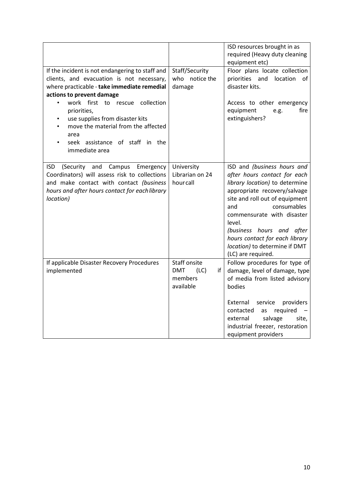|                                                                                                                                                                                                                                                                                                                                                                   |                                                                    | ISD resources brought in as<br>required (Heavy duty cleaning<br>equipment etc)                                                                                                                                                                                                                                                                      |
|-------------------------------------------------------------------------------------------------------------------------------------------------------------------------------------------------------------------------------------------------------------------------------------------------------------------------------------------------------------------|--------------------------------------------------------------------|-----------------------------------------------------------------------------------------------------------------------------------------------------------------------------------------------------------------------------------------------------------------------------------------------------------------------------------------------------|
| If the incident is not endangering to staff and<br>clients, and evacuation is not necessary,<br>where practicable - take immediate remedial<br>actions to prevent damage<br>work first to rescue collection<br>priorities,<br>use supplies from disaster kits<br>move the material from the affected<br>area<br>seek assistance of staff in the<br>immediate area | Staff/Security<br>who notice the<br>damage                         | Floor plans locate collection<br>location<br>priorities and<br>οf<br>disaster kits.<br>Access to other emergency<br>equipment<br>fire<br>e.g.<br>extinguishers?                                                                                                                                                                                     |
| (Security and Campus<br><b>ISD</b><br>Emergency<br>Coordinators) will assess risk to collections<br>and make contact with contact (business<br>hours and after hours contact for each library<br>location)                                                                                                                                                        | University<br>Librarian on 24<br>hourcall                          | ISD and (business hours and<br>after hours contact for each<br>library location) to determine<br>appropriate recovery/salvage<br>site and roll out of equipment<br>consumables<br>and<br>commensurate with disaster<br>level.<br>(business hours and after<br>hours contact for each library<br>location) to determine if DMT<br>(LC) are required. |
| If applicable Disaster Recovery Procedures<br>implemented                                                                                                                                                                                                                                                                                                         | Staff onsite<br>(LC)<br><b>DMT</b><br>if I<br>members<br>available | Follow procedures for type of<br>damage, level of damage, type<br>of media from listed advisory<br>bodies<br>providers<br>External<br>service<br>required<br>contacted<br>as<br>salvage<br>external<br>site,<br>industrial freezer, restoration<br>equipment providers                                                                              |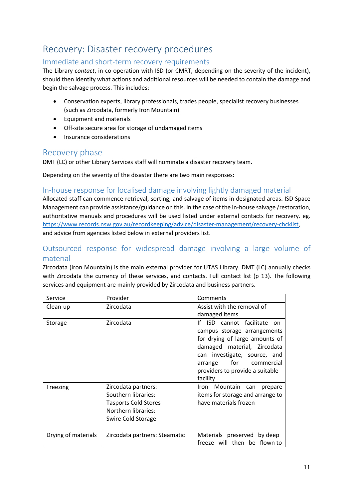### <span id="page-10-0"></span>Recovery: Disaster recovery procedures

#### Immediate and short-term recovery requirements

The Library *contact*, in co-operation with ISD (or CMRT, depending on the severity of the incident), should then identify what actions and additional resources will be needed to contain the damage and begin the salvage process. This includes:

- Conservation experts, library professionals, trades people, specialist recovery businesses (such as Zircodata, formerly Iron Mountain)
- Equipment and materials
- Off-site secure area for storage of undamaged items
- Insurance considerations

#### Recovery phase

DMT (LC) or other Library Services staff will nominate a disaster recovery team.

Depending on the severity of the disaster there are two main responses:

#### In-house response for localised damage involving lightly damaged material

Allocated staff can commence retrieval, sorting, and salvage of items in designated areas. ISD Space Management can provide assistance/guidance on this. In the case of the in-house salvage /restoration, authoritative manuals and procedures will be used listed under external contacts for recovery. eg. [https://www.records.nsw.gov.au/recordkeeping/advice/disaster-management/recovery-chcklist,](https://www.records.nsw.gov.au/recordkeeping/advice/disaster-management/recovery-chcklist) and advice from agencies listed below in external providers list.

#### Outsourced response for widespread damage involving a large volume of material

Zircodata (Iron Mountain) is the main external provider for UTAS Library. DMT (LC) annually checks with Zircodata the currency of these services, and contacts. Full contact list (p 13). The following services and equipment are mainly provided by Zircodata and business partners.

| Service             | Provider                                                                                                                      | Comments                                                                                                                                                                                                                                       |
|---------------------|-------------------------------------------------------------------------------------------------------------------------------|------------------------------------------------------------------------------------------------------------------------------------------------------------------------------------------------------------------------------------------------|
| Clean-up            | Zircodata                                                                                                                     | Assist with the removal of                                                                                                                                                                                                                     |
|                     |                                                                                                                               | damaged items                                                                                                                                                                                                                                  |
| Storage             | Zircodata                                                                                                                     | ١f<br>ISD<br>cannot facilitate on-<br>campus storage arrangements<br>for drying of large amounts of<br>damaged material, Zircodata<br>can investigate, source, and<br>for commercial<br>arrange<br>providers to provide a suitable<br>facility |
| Freezing            | Zircodata partners:<br>Southern libraries:<br><b>Tasports Cold Stores</b><br><b>Northern libraries:</b><br>Swire Cold Storage | Iron Mountain can<br>prepare<br>items for storage and arrange to<br>have materials frozen                                                                                                                                                      |
| Drying of materials | Zircodata partners: Steamatic                                                                                                 | Materials preserved by deep<br>freeze will then be flown to                                                                                                                                                                                    |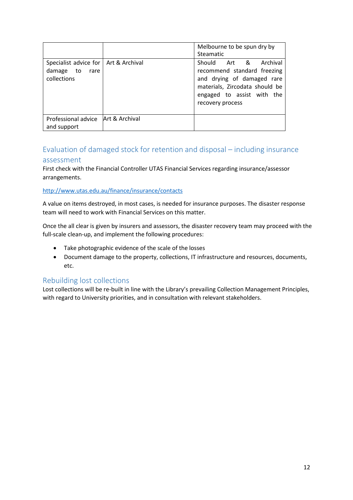|                                                                            |                | Melbourne to be spun dry by<br>Steamatic                                                                                                                               |
|----------------------------------------------------------------------------|----------------|------------------------------------------------------------------------------------------------------------------------------------------------------------------------|
| Specialist advice for   Art & Archival<br>damage to<br>rare<br>collections |                | Should Art & Archival<br>recommend standard freezing<br>and drying of damaged rare<br>materials, Zircodata should be<br>engaged to assist with the<br>recovery process |
| Professional advice<br>and support                                         | Art & Archival |                                                                                                                                                                        |

### Evaluation of damaged stock for retention and disposal – including insurance assessment

First check with the Financial Controller UTAS Financial Services regarding insurance/assessor arrangements.

#### <http://www.utas.edu.au/finance/insurance/contacts>

A value on items destroyed, in most cases, is needed for insurance purposes. The disaster response team will need to work with Financial Services on this matter.

Once the all clear is given by insurers and assessors, the disaster recovery team may proceed with the full-scale clean-up, and implement the following procedures:

- Take photographic evidence of the scale of the losses
- Document damage to the property, collections, IT infrastructure and resources, documents, etc.

#### Rebuilding lost collections

Lost collections will be re-built in line with the Library's prevailing Collection Management Principles, with regard to University priorities, and in consultation with relevant stakeholders.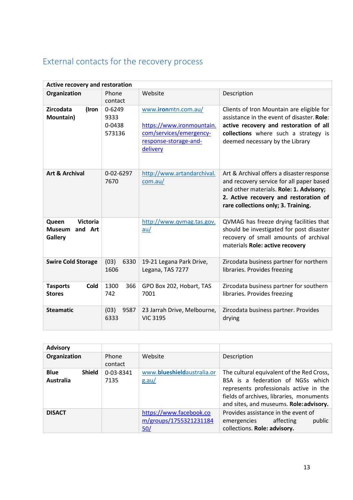### External contacts for the recovery process

| <b>Active recovery and restoration</b>                   |                                    |                                                                                                                  |                                                                                                                                                                                                                  |
|----------------------------------------------------------|------------------------------------|------------------------------------------------------------------------------------------------------------------|------------------------------------------------------------------------------------------------------------------------------------------------------------------------------------------------------------------|
| Organization                                             | Phone<br>contact                   | Website                                                                                                          | Description                                                                                                                                                                                                      |
| Zircodata<br>(Iron<br>Mountain)                          | 0-6249<br>9333<br>0-0438<br>573136 | www.ironmtn.com.au/<br>https://www.ironmountain.<br>com/services/emergency-<br>response-storage-and-<br>delivery | Clients of Iron Mountain are eligible for<br>assistance in the event of disaster. Role:<br>active recovery and restoration of all<br>collections where such a strategy is<br>deemed necessary by the Library     |
| <b>Art &amp; Archival</b>                                | 0-02-6297<br>7670                  | http://www.artandarchival.<br>com.au/                                                                            | Art & Archival offers a disaster response<br>and recovery service for all paper based<br>and other materials. Role: 1. Advisory;<br>2. Active recovery and restoration of<br>rare collections only; 3. Training. |
| <b>Victoria</b><br>Queen<br>and Art<br>Museum<br>Gallery |                                    | http://www.qvmag.tas.gov.<br>au/                                                                                 | QVMAG has freeze drying facilities that<br>should be investigated for post disaster<br>recovery of small amounts of archival<br>materials Role: active recovery                                                  |
| <b>Swire Cold Storage</b>                                | (03)<br>6330<br>1606               | 19-21 Legana Park Drive,<br>Legana, TAS 7277                                                                     | Zircodata business partner for northern<br>libraries. Provides freezing                                                                                                                                          |
| <b>Tasports</b><br>Cold<br><b>Stores</b>                 | 1300<br>366<br>742                 | GPO Box 202, Hobart, TAS<br>7001                                                                                 | Zircodata business partner for southern<br>libraries. Provides freezing                                                                                                                                          |
| <b>Steamatic</b>                                         | (03)<br>9587<br>6333               | 23 Jarrah Drive, Melbourne,<br><b>VIC 3195</b>                                                                   | Zircodata business partner. Provides<br>drying                                                                                                                                                                   |

| <b>Advisory</b>                           |                   |                                                          |                                                                                                                                                                                                                 |
|-------------------------------------------|-------------------|----------------------------------------------------------|-----------------------------------------------------------------------------------------------------------------------------------------------------------------------------------------------------------------|
| Organization                              | Phone<br>contact  | Website                                                  | Description                                                                                                                                                                                                     |
| <b>Shield</b><br><b>Blue</b><br>Australia | 0-03-8341<br>7135 | www.blueshieldaustralia.or<br>g.au/                      | The cultural equivalent of the Red Cross,<br>BSA is a federation of NGSs which<br>represents professionals active in the<br>fields of archives, libraries, monuments<br>and sites, and museums. Role: advisory. |
| <b>DISACT</b>                             |                   | https://www.facebook.co<br>m/groups/1755321231184<br>50/ | Provides assistance in the event of<br>affecting<br>public<br>emergencies<br>collections. Role: advisory.                                                                                                       |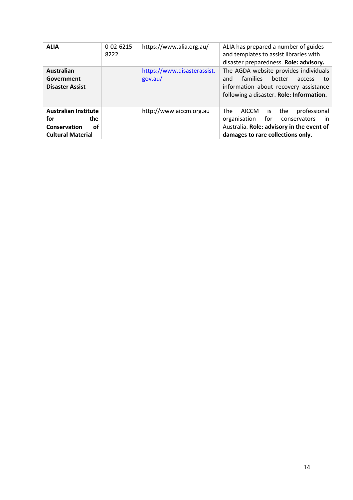| <b>ALIA</b>                                                                                 | $0 - 02 - 6215$<br>8222 | https://www.alia.org.au/               | ALIA has prepared a number of guides<br>and templates to assist libraries with<br>disaster preparedness. Role: advisory.                                                       |
|---------------------------------------------------------------------------------------------|-------------------------|----------------------------------------|--------------------------------------------------------------------------------------------------------------------------------------------------------------------------------|
| <b>Australian</b><br>Government<br><b>Disaster Assist</b>                                   |                         | https://www.disasterassist.<br>gov.au/ | The AGDA website provides individuals<br><b>families</b><br>better<br>and<br>access<br>to<br>information about recovery assistance<br>following a disaster. Role: Information. |
| <b>Australian Institute</b><br>for<br>the<br>Conservation<br>οf<br><b>Cultural Material</b> |                         | http://www.aiccm.org.au                | The<br>professional<br>AICCM<br>the<br>is<br>for<br>organisation<br>conservators<br>- in<br>Australia. Role: advisory in the event of<br>damages to rare collections only.     |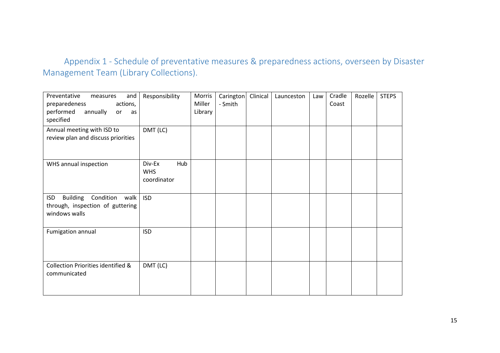### Appendix 1 - Schedule of preventative measures & preparedness actions, overseen by Disaster Management Team (Library Collections).

| Preventative<br>and<br>measures<br>preparedeness<br>actions,<br>performed<br>annually<br>or<br>as<br>specified | Responsibility                             | Morris<br>Miller<br>Library | Carington<br>- Smith | Clinical | Launceston | Law | Cradle<br>Coast | Rozelle | <b>STEPS</b> |
|----------------------------------------------------------------------------------------------------------------|--------------------------------------------|-----------------------------|----------------------|----------|------------|-----|-----------------|---------|--------------|
| Annual meeting with ISD to<br>review plan and discuss priorities                                               | DMT (LC)                                   |                             |                      |          |            |     |                 |         |              |
| WHS annual inspection                                                                                          | Hub<br>Div-Ex<br><b>WHS</b><br>coordinator |                             |                      |          |            |     |                 |         |              |
| <b>Building Condition</b><br>walk<br><b>ISD</b><br>through, inspection of guttering<br>windows walls           | <b>ISD</b>                                 |                             |                      |          |            |     |                 |         |              |
| Fumigation annual                                                                                              | <b>ISD</b>                                 |                             |                      |          |            |     |                 |         |              |
| Collection Priorities identified &<br>communicated                                                             | DMT (LC)                                   |                             |                      |          |            |     |                 |         |              |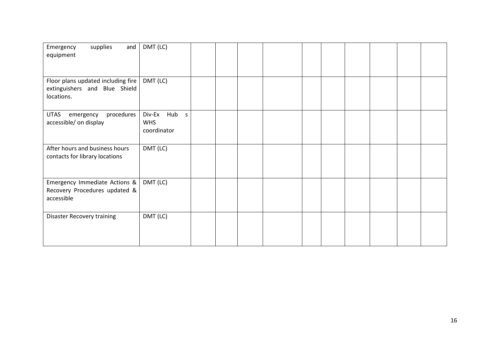| supplies<br>Emergency<br>and<br>equipment                                         | DMT (LC)                                        |  |  |  |  |  |
|-----------------------------------------------------------------------------------|-------------------------------------------------|--|--|--|--|--|
| Floor plans updated including fire<br>extinguishers and Blue Shield<br>locations. | DMT (LC)                                        |  |  |  |  |  |
| <b>UTAS</b><br>procedures<br>emergency<br>accessible/ on display                  | Div-Ex<br>Hub<br>S<br><b>WHS</b><br>coordinator |  |  |  |  |  |
| After hours and business hours<br>contacts for library locations                  | DMT (LC)                                        |  |  |  |  |  |
| Emergency Immediate Actions &<br>Recovery Procedures updated &<br>accessible      | DMT (LC)                                        |  |  |  |  |  |
| <b>Disaster Recovery training</b>                                                 | DMT (LC)                                        |  |  |  |  |  |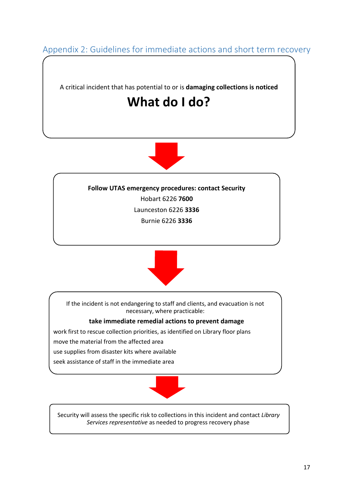Appendix 2: Guidelines for immediate actions and short term recovery

A critical incident that has potential to or is **damaging collections is noticed**

## **What do I do?**



**Follow UTAS emergency procedures: contact Security** Hobart 6226 **7600** Launceston 6226 **3336** Burnie 6226 **3336**



If the incident is not endangering to staff and clients, and evacuation is not necessary, where practicable:

**take immediate remedial actions to prevent damage** 

work first to rescue collection priorities, as identified on Library floor plans

move the material from the affected area

use supplies from disaster kits where available

seek assistance of staff in the immediate area



Security will assess the specific risk to collections in this incident and contact *Library Services representative* as needed to progress recovery phase